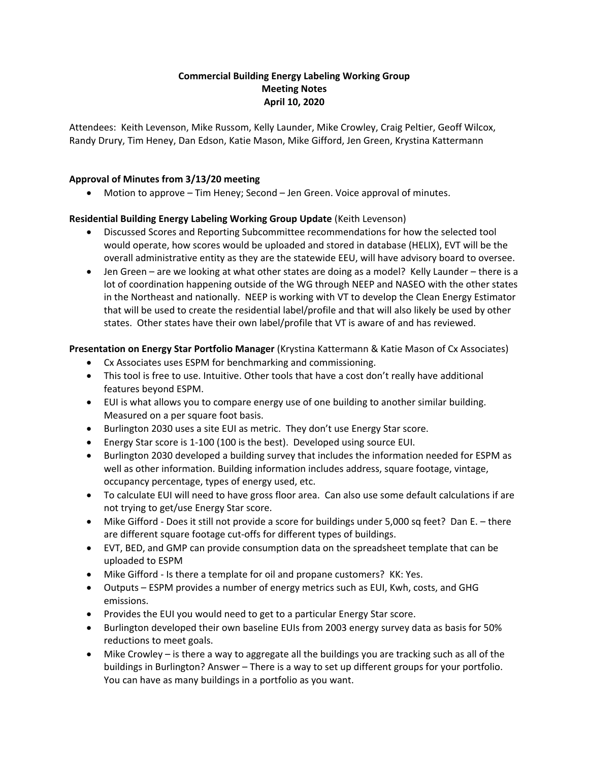# **Commercial Building Energy Labeling Working Group Meeting Notes April 10, 2020**

Attendees: Keith Levenson, Mike Russom, Kelly Launder, Mike Crowley, Craig Peltier, Geoff Wilcox, Randy Drury, Tim Heney, Dan Edson, Katie Mason, Mike Gifford, Jen Green, Krystina Kattermann

# **Approval of Minutes from 3/13/20 meeting**

• Motion to approve – Tim Heney; Second – Jen Green. Voice approval of minutes.

#### **Residential Building Energy Labeling Working Group Update** (Keith Levenson)

- Discussed Scores and Reporting Subcommittee recommendations for how the selected tool would operate, how scores would be uploaded and stored in database (HELIX), EVT will be the overall administrative entity as they are the statewide EEU, will have advisory board to oversee.
- Jen Green are we looking at what other states are doing as a model? Kelly Launder there is a lot of coordination happening outside of the WG through NEEP and NASEO with the other states in the Northeast and nationally. NEEP is working with VT to develop the Clean Energy Estimator that will be used to create the residential label/profile and that will also likely be used by other states. Other states have their own label/profile that VT is aware of and has reviewed.

#### **Presentation on Energy Star Portfolio Manager** (Krystina Kattermann & Katie Mason of Cx Associates)

- Cx Associates uses ESPM for benchmarking and commissioning.
- This tool is free to use. Intuitive. Other tools that have a cost don't really have additional features beyond ESPM.
- EUI is what allows you to compare energy use of one building to another similar building. Measured on a per square foot basis.
- Burlington 2030 uses a site EUI as metric. They don't use Energy Star score.
- Energy Star score is 1-100 (100 is the best). Developed using source EUI.
- Burlington 2030 developed a building survey that includes the information needed for ESPM as well as other information. Building information includes address, square footage, vintage, occupancy percentage, types of energy used, etc.
- To calculate EUI will need to have gross floor area. Can also use some default calculations if are not trying to get/use Energy Star score.
- Mike Gifford Does it still not provide a score for buildings under 5,000 sq feet? Dan E. there are different square footage cut-offs for different types of buildings.
- EVT, BED, and GMP can provide consumption data on the spreadsheet template that can be uploaded to ESPM
- Mike Gifford Is there a template for oil and propane customers? KK: Yes.
- Outputs ESPM provides a number of energy metrics such as EUI, Kwh, costs, and GHG emissions.
- Provides the EUI you would need to get to a particular Energy Star score.
- Burlington developed their own baseline EUIs from 2003 energy survey data as basis for 50% reductions to meet goals.
- Mike Crowley is there a way to aggregate all the buildings you are tracking such as all of the buildings in Burlington? Answer – There is a way to set up different groups for your portfolio. You can have as many buildings in a portfolio as you want.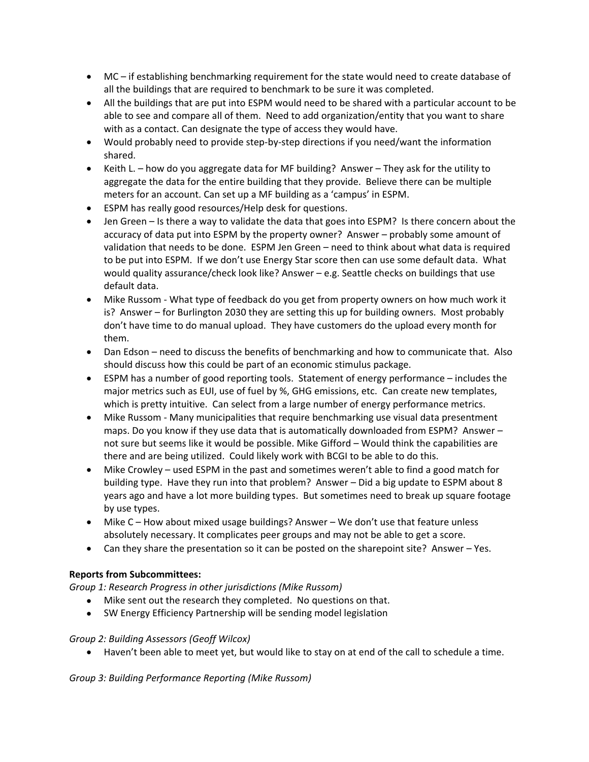- MC if establishing benchmarking requirement for the state would need to create database of all the buildings that are required to benchmark to be sure it was completed.
- All the buildings that are put into ESPM would need to be shared with a particular account to be able to see and compare all of them. Need to add organization/entity that you want to share with as a contact. Can designate the type of access they would have.
- Would probably need to provide step-by-step directions if you need/want the information shared.
- Keith L. how do you aggregate data for MF building? Answer They ask for the utility to aggregate the data for the entire building that they provide. Believe there can be multiple meters for an account. Can set up a MF building as a 'campus' in ESPM.
- ESPM has really good resources/Help desk for questions.
- Jen Green Is there a way to validate the data that goes into ESPM? Is there concern about the accuracy of data put into ESPM by the property owner? Answer – probably some amount of validation that needs to be done. ESPM Jen Green – need to think about what data is required to be put into ESPM. If we don't use Energy Star score then can use some default data. What would quality assurance/check look like? Answer – e.g. Seattle checks on buildings that use default data.
- Mike Russom What type of feedback do you get from property owners on how much work it is? Answer – for Burlington 2030 they are setting this up for building owners. Most probably don't have time to do manual upload. They have customers do the upload every month for them.
- Dan Edson need to discuss the benefits of benchmarking and how to communicate that. Also should discuss how this could be part of an economic stimulus package.
- ESPM has a number of good reporting tools. Statement of energy performance includes the major metrics such as EUI, use of fuel by %, GHG emissions, etc. Can create new templates, which is pretty intuitive. Can select from a large number of energy performance metrics.
- Mike Russom Many municipalities that require benchmarking use visual data presentment maps. Do you know if they use data that is automatically downloaded from ESPM? Answer – not sure but seems like it would be possible. Mike Gifford – Would think the capabilities are there and are being utilized. Could likely work with BCGI to be able to do this.
- Mike Crowley used ESPM in the past and sometimes weren't able to find a good match for building type. Have they run into that problem? Answer – Did a big update to ESPM about 8 years ago and have a lot more building types. But sometimes need to break up square footage by use types.
- Mike C How about mixed usage buildings? Answer We don't use that feature unless absolutely necessary. It complicates peer groups and may not be able to get a score.
- Can they share the presentation so it can be posted on the sharepoint site? Answer Yes.

# **Reports from Subcommittees:**

*Group 1: Research Progress in other jurisdictions (Mike Russom)*

- Mike sent out the research they completed. No questions on that.
- SW Energy Efficiency Partnership will be sending model legislation

# *Group 2: Building Assessors (Geoff Wilcox)*

• Haven't been able to meet yet, but would like to stay on at end of the call to schedule a time.

*Group 3: Building Performance Reporting (Mike Russom)*